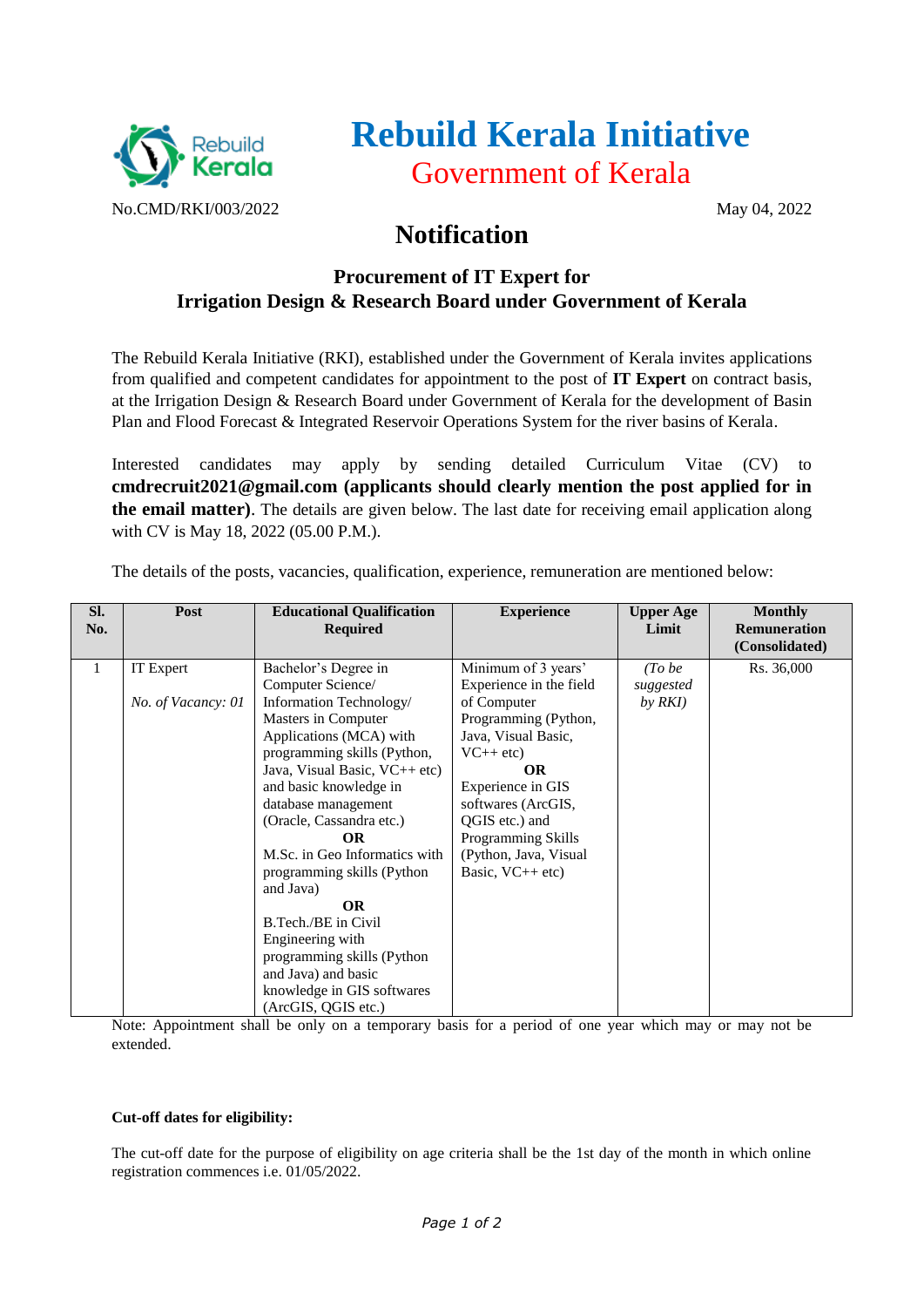

# **Rebuild Kerala Initiative** Government of Kerala

## **Notification**

### **Procurement of IT Expert for Irrigation Design & Research Board under Government of Kerala**

The Rebuild Kerala Initiative (RKI), established under the Government of Kerala invites applications from qualified and competent candidates for appointment to the post of **IT Expert** on contract basis, at the Irrigation Design & Research Board under Government of Kerala for the development of Basin Plan and Flood Forecast & Integrated Reservoir Operations System for the river basins of Kerala.

Interested candidates may apply by sending detailed Curriculum Vitae (CV) to **cmdrecruit2021@gmail.com (applicants should clearly mention the post applied for in the email matter)**. The details are given below. The last date for receiving email application along with CV is May 18, 2022 (05.00 P.M.).

| SI. | Post               | <b>Educational Qualification</b> | <b>Experience</b>         | <b>Upper Age</b> | <b>Monthly</b>      |
|-----|--------------------|----------------------------------|---------------------------|------------------|---------------------|
| No. |                    | <b>Required</b>                  |                           | Limit            | <b>Remuneration</b> |
|     |                    |                                  |                           |                  | (Consolidated)      |
| 1   | IT Expert          | Bachelor's Degree in             | Minimum of 3 years'       | (Tobe            | Rs. 36,000          |
|     |                    | Computer Science/                | Experience in the field   | suggested        |                     |
|     | No. of Vacancy: 01 | Information Technology/          | of Computer               | by RKI           |                     |
|     |                    | Masters in Computer              | Programming (Python,      |                  |                     |
|     |                    | Applications (MCA) with          | Java, Visual Basic,       |                  |                     |
|     |                    | programming skills (Python,      | $VC++$ etc)               |                  |                     |
|     |                    | Java, Visual Basic, VC++ etc)    | <b>OR</b>                 |                  |                     |
|     |                    | and basic knowledge in           | Experience in GIS         |                  |                     |
|     |                    | database management              | softwares (ArcGIS,        |                  |                     |
|     |                    | (Oracle, Cassandra etc.)         | QGIS etc.) and            |                  |                     |
|     |                    | <b>OR</b>                        | <b>Programming Skills</b> |                  |                     |
|     |                    | M.Sc. in Geo Informatics with    | (Python, Java, Visual)    |                  |                     |
|     |                    | programming skills (Python       | Basic, $VC++$ etc)        |                  |                     |
|     |                    | and Java)                        |                           |                  |                     |
|     |                    | <b>OR</b>                        |                           |                  |                     |
|     |                    | B.Tech./BE in Civil              |                           |                  |                     |
|     |                    | Engineering with                 |                           |                  |                     |
|     |                    | programming skills (Python       |                           |                  |                     |
|     |                    | and Java) and basic              |                           |                  |                     |
|     |                    | knowledge in GIS softwares       |                           |                  |                     |
|     |                    | (ArcGIS, QGIS etc.)              |                           |                  |                     |

The details of the posts, vacancies, qualification, experience, remuneration are mentioned below:

Note: Appointment shall be only on a temporary basis for a period of one year which may or may not be extended.

#### **Cut-off dates for eligibility:**

The cut-off date for the purpose of eligibility on age criteria shall be the 1st day of the month in which online registration commences i.e. 01/05/2022.